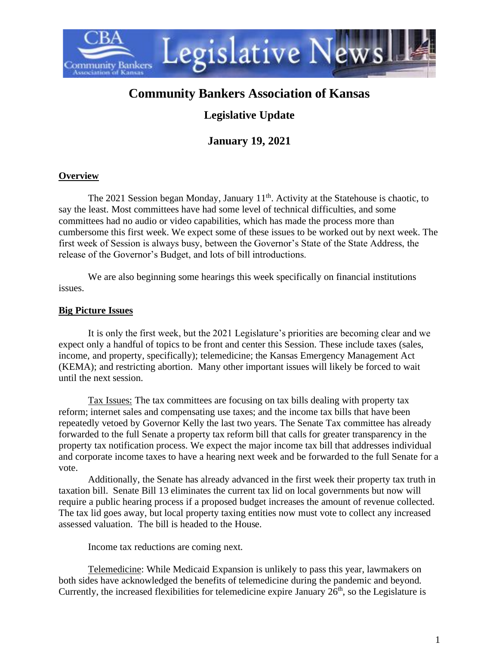

# **Community Bankers Association of Kansas**

# **Legislative Update**

**January 19, 2021**

# **Overview**

The 2021 Session began Monday, January  $11<sup>th</sup>$ . Activity at the Statehouse is chaotic, to say the least. Most committees have had some level of technical difficulties, and some committees had no audio or video capabilities, which has made the process more than cumbersome this first week. We expect some of these issues to be worked out by next week. The first week of Session is always busy, between the Governor's State of the State Address, the release of the Governor's Budget, and lots of bill introductions.

We are also beginning some hearings this week specifically on financial institutions issues.

# **Big Picture Issues**

It is only the first week, but the 2021 Legislature's priorities are becoming clear and we expect only a handful of topics to be front and center this Session. These include taxes (sales, income, and property, specifically); telemedicine; the Kansas Emergency Management Act (KEMA); and restricting abortion. Many other important issues will likely be forced to wait until the next session.

Tax Issues: The tax committees are focusing on tax bills dealing with property tax reform; internet sales and compensating use taxes; and the income tax bills that have been repeatedly vetoed by Governor Kelly the last two years. The Senate Tax committee has already forwarded to the full Senate a property tax reform bill that calls for greater transparency in the property tax notification process. We expect the major income tax bill that addresses individual and corporate income taxes to have a hearing next week and be forwarded to the full Senate for a vote.

Additionally, the Senate has already advanced in the first week their property tax truth in taxation bill. Senate Bill 13 eliminates the current tax lid on local governments but now will require a public hearing process if a proposed budget increases the amount of revenue collected. The tax lid goes away, but local property taxing entities now must vote to collect any increased assessed valuation. The bill is headed to the House.

Income tax reductions are coming next.

Telemedicine: While Medicaid Expansion is unlikely to pass this year, lawmakers on both sides have acknowledged the benefits of telemedicine during the pandemic and beyond. Currently, the increased flexibilities for telemedicine expire January  $26<sup>th</sup>$ , so the Legislature is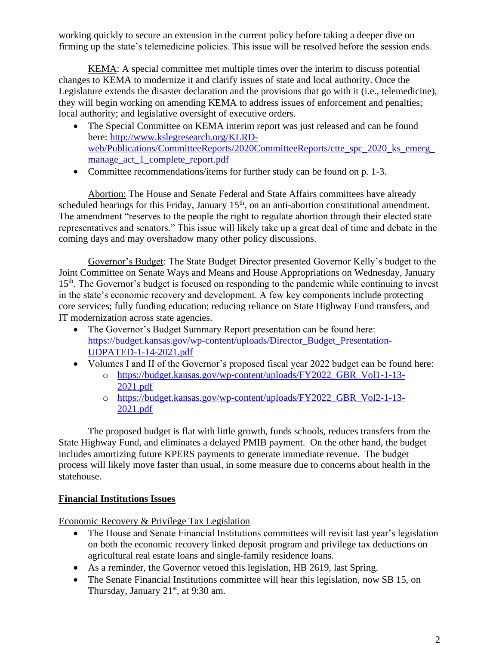working quickly to secure an extension in the current policy before taking a deeper dive on firming up the state's telemedicine policies. This issue will be resolved before the session ends.

KEMA: A special committee met multiple times over the interim to discuss potential changes to KEMA to modernize it and clarify issues of state and local authority. Once the Legislature extends the disaster declaration and the provisions that go with it (i.e., telemedicine), they will begin working on amending KEMA to address issues of enforcement and penalties; local authority; and legislative oversight of executive orders.

- The Special Committee on KEMA interim report was just released and can be found here: [http://www.kslegresearch.org/KLRD](http://www.kslegresearch.org/KLRD-web/Publications/CommitteeReports/2020CommitteeReports/ctte_spc_2020_ks_emerg_manage_act_1_complete_report.pdf)web/Publications/CommitteeReports/2020CommitteeReports/ctte\_spc\_2020\_ks\_emerg [manage\\_act\\_1\\_complete\\_report.pdf](http://www.kslegresearch.org/KLRD-web/Publications/CommitteeReports/2020CommitteeReports/ctte_spc_2020_ks_emerg_manage_act_1_complete_report.pdf)
- Committee recommendations/items for further study can be found on p. 1-3.

Abortion: The House and Senate Federal and State Affairs committees have already scheduled hearings for this Friday, January  $15<sup>th</sup>$ , on an anti-abortion constitutional amendment. The amendment "reserves to the people the right to regulate abortion through their elected state representatives and senators." This issue will likely take up a great deal of time and debate in the coming days and may overshadow many other policy discussions.

Governor's Budget: The State Budget Director presented Governor Kelly's budget to the Joint Committee on Senate Ways and Means and House Appropriations on Wednesday, January 15<sup>th</sup>. The Governor's budget is focused on responding to the pandemic while continuing to invest in the state's economic recovery and development. A few key components include protecting core services; fully funding education; reducing reliance on State Highway Fund transfers, and IT modernization across state agencies.

- The Governor's Budget Summary Report presentation can be found here: [https://budget.kansas.gov/wp-content/uploads/Director\\_Budget\\_Presentation-](https://budget.kansas.gov/wp-content/uploads/Director_Budget_Presentation-UDPATED-1-14-2021.pdf)[UDPATED-1-14-2021.pdf](https://budget.kansas.gov/wp-content/uploads/Director_Budget_Presentation-UDPATED-1-14-2021.pdf)
- Volumes I and II of the Governor's proposed fiscal year 2022 budget can be found here:
	- o [https://budget.kansas.gov/wp-content/uploads/FY2022\\_GBR\\_Vol1-1-13-](https://budget.kansas.gov/wp-content/uploads/FY2022_GBR_Vol1-1-13-2021.pdf) [2021.pdf](https://budget.kansas.gov/wp-content/uploads/FY2022_GBR_Vol1-1-13-2021.pdf)
	- o [https://budget.kansas.gov/wp-content/uploads/FY2022\\_GBR\\_Vol2-1-13-](https://budget.kansas.gov/wp-content/uploads/FY2022_GBR_Vol2-1-13-2021.pdf) [2021.pdf](https://budget.kansas.gov/wp-content/uploads/FY2022_GBR_Vol2-1-13-2021.pdf)

The proposed budget is flat with little growth, funds schools, reduces transfers from the State Highway Fund, and eliminates a delayed PMIB payment. On the other hand, the budget includes amortizing future KPERS payments to generate immediate revenue. The budget process will likely move faster than usual, in some measure due to concerns about health in the statehouse.

#### **Financial Institutions Issues**

Economic Recovery & Privilege Tax Legislation

- The House and Senate Financial Institutions committees will revisit last year's legislation on both the economic recovery linked deposit program and privilege tax deductions on agricultural real estate loans and single-family residence loans.
- As a reminder, the Governor vetoed this legislation, HB 2619, last Spring.
- The Senate Financial Institutions committee will hear this legislation, now SB 15, on Thursday, January  $21<sup>st</sup>$ , at 9:30 am.